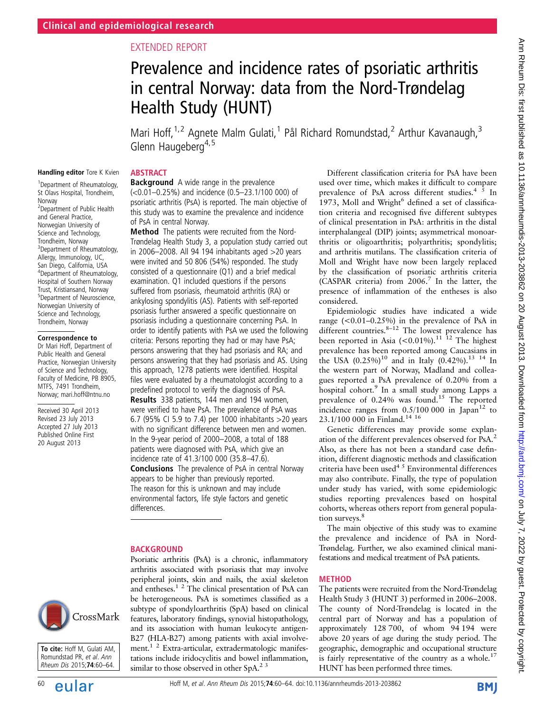# EXTENDED REPORT

# Prevalence and incidence rates of psoriatic arthritis in central Norway: data from the Nord-Trøndelag Health Study (HUNT)

Mari Hoff,<sup>1,2</sup> Agnete Malm Gulati,<sup>1</sup> Pål Richard Romundstad,<sup>2</sup> Arthur Kavanaugh,<sup>3</sup> Glenn Haugeberg<sup>4,5</sup>

#### **ABSTRACT**

Handling editor Tore K Kvien 1 Department of Rheumatology, St Olavs Hospital, Trondheim,

2 Department of Public Health and General Practice, Norwegian University of Science and Technology, Trondheim, Norway <sup>3</sup>Department of Rheumatology, Allergy, Immunology, UC, San Diego, California, USA 4 Department of Rheumatology, Hospital of Southern Norway Trust, Kristiansand, Norway 5 Department of Neuroscience, Norwegian University of Science and Technology, Trondheim, Norway Correspondence to Dr Mari Hoff, Department of Public Health and General Practice, Norwegian University of Science and Technology, Faculty of Medicine, PB 8905, MTFS, 7491 Trondheim, Norway; mari.hoff@ntnu.no Received 30 April 2013 Revised 23 July 2013 Accepted 27 July 2013 Published Online First 20 August 2013

Norway

**Background** A wide range in the prevalence (<0.01–0.25%) and incidence (0.5–23.1/100 000) of psoriatic arthritis (PsA) is reported. The main objective of this study was to examine the prevalence and incidence of PsA in central Norway.

Method The patients were recruited from the Nord-Trøndelag Health Study 3, a population study carried out in 2006–2008. All 94 194 inhabitants aged >20 years were invited and 50 806 (54%) responded. The study consisted of a questionnaire (Q1) and a brief medical examination. Q1 included questions if the persons suffered from psoriasis, rheumatoid arthritis (RA) or ankylosing spondylitis (AS). Patients with self-reported psoriasis further answered a specific questionnaire on psoriasis including a questionnaire concerning PsA. In order to identify patients with PsA we used the following criteria: Persons reporting they had or may have PsA; persons answering that they had psoriasis and RA; and persons answering that they had psoriasis and AS. Using this approach, 1278 patients were identified. Hospital files were evaluated by a rheumatologist according to a predefined protocol to verify the diagnosis of PsA. Results 338 patients, 144 men and 194 women, were verified to have PsA. The prevalence of PsA was 6.7 (95% CI 5.9 to 7.4) per 1000 inhabitants >20 years with no significant difference between men and women. In the 9-year period of 2000–2008, a total of 188 patients were diagnosed with PsA, which give an incidence rate of 41.3/100 000 (35.8–47.6). Conclusions The prevalence of PsA in central Norway

appears to be higher than previously reported. The reason for this is unknown and may include environmental factors, life style factors and genetic differences.

#### BACKGROUND

Psoriatic arthritis (PsA) is a chronic, inflammatory arthritis associated with psoriasis that may involve peripheral joints, skin and nails, the axial skeleton and entheses. $1<sup>2</sup>$  The clinical presentation of PsA can be heterogeneous. PsA is sometimes classified as a subtype of spondyloarthritis (SpA) based on clinical features, laboratory findings, synovial histopathology, and its association with human leukocyte antigen-B27 (HLA-B27) among patients with axial involvement.<sup>1 2</sup> Extra-articular, extradermatologic manifestations include iridocyclitis and bowel inflammation, similar to those observed in other  $SpA.23$ 

Different classification criteria for PsA have been used over time, which makes it difficult to compare prevalence of PsA across different studies. $4\overline{5}$  In  $1973$ , Moll and Wright<sup>6</sup> defined a set of classification criteria and recognised five different subtypes of clinical presentation in PsA: arthritis in the distal interphalangeal (DIP) joints; asymmetrical monoarthritis or oligoarthritis; polyarthritis; spondylitis; and arthritis mutilans. The classification criteria of Moll and Wright have now been largely replaced by the classification of psoriatic arthritis criteria (CASPAR criteria) from 2006.7 In the latter, the presence of inflammation of the entheses is also considered.

Epidemiologic studies have indicated a wide range  $(<0.01-0.25\%)$  in the prevalence of PsA in different countries. $8-12$  The lowest prevalence has been reported in Asia  $(<0.01\%)$ .<sup>11 12</sup> The highest prevalence has been reported among Caucasians in the USA  $(0.25\%)^{10}$  and in Italy  $(0.42\%)^{13}$  14 In the western part of Norway, Madland and colleagues reported a PsA prevalence of 0.20% from a hospital cohort.<sup>9</sup> In a small study among Lapps a prevalence of 0.24% was found.<sup>15</sup> The reported incidence ranges from  $0.5/100\ 000$  in Japan<sup>12</sup> to 23.1/100 000 in Finland.14 16

Genetic differences may provide some explanation of the different prevalences observed for PsA.2 Also, as there has not been a standard case definition, different diagnostic methods and classification criteria have been used<sup>45</sup> Environmental differences may also contribute. Finally, the type of population under study has varied, with some epidemiologic studies reporting prevalences based on hospital cohorts, whereas others report from general population surveys.<sup>8</sup>

The main objective of this study was to examine the prevalence and incidence of PsA in Nord-Trøndelag. Further, we also examined clinical manifestations and medical treatment of PsA patients.

#### METHOD

The patients were recruited from the Nord-Trøndelag Health Study 3 (HUNT 3) performed in 2006–2008. The county of Nord-Trøndelag is located in the central part of Norway and has a population of approximately 128 700, of whom 94 194 were above 20 years of age during the study period. The geographic, demographic and occupational structure is fairly representative of the country as a whole.<sup>17</sup> HUNT has been performed three times.



To cite: Hoff M, Gulati AM, Romundstad PR, et al. Ann Rheum Dis 2015;74:60–64.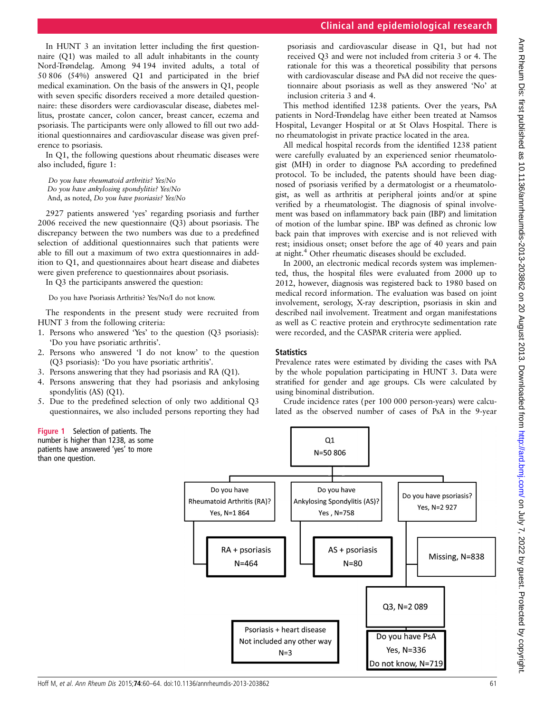In HUNT 3 an invitation letter including the first questionnaire (Q1) was mailed to all adult inhabitants in the county Nord-Trøndelag. Among 94 194 invited adults, a total of 50 806 (54%) answered Q1 and participated in the brief medical examination. On the basis of the answers in Q1, people with seven specific disorders received a more detailed questionnaire: these disorders were cardiovascular disease, diabetes mellitus, prostate cancer, colon cancer, breast cancer, eczema and psoriasis. The participants were only allowed to fill out two additional questionnaires and cardiovascular disease was given preference to psoriasis.

In Q1, the following questions about rheumatic diseases were also included, figure 1:

Do you have rheumatoid arthritis? Yes/No Do you have ankylosing spondylitis? Yes/No And, as noted, Do you have psoriasis? Yes/No

2927 patients answered 'yes' regarding psoriasis and further 2006 received the new questionnaire (Q3) about psoriasis. The discrepancy between the two numbers was due to a predefined selection of additional questionnaires such that patients were able to fill out a maximum of two extra questionnaires in addition to Q1, and questionnaires about heart disease and diabetes were given preference to questionnaires about psoriasis.

In Q3 the participants answered the question:

Do you have Psoriasis Arthritis? Yes/No/I do not know.

The respondents in the present study were recruited from HUNT 3 from the following criteria:

- 1. Persons who answered 'Yes' to the question (Q3 psoriasis): 'Do you have psoriatic arthritis'.
- 2. Persons who answered 'I do not know' to the question (Q3 psoriasis): 'Do you have psoriatic arthritis'.
- 3. Persons answering that they had psoriasis and RA (Q1).
- 4. Persons answering that they had psoriasis and ankylosing spondylitis (AS) (Q1).
- 5. Due to the predefined selection of only two additional Q3 questionnaires, we also included persons reporting they had

Figure 1 Selection of patients. The number is higher than 1238, as some patients have answered 'yes' to more than one question.

psoriasis and cardiovascular disease in Q1, but had not received Q3 and were not included from criteria 3 or 4. The rationale for this was a theoretical possibility that persons with cardiovascular disease and PsA did not receive the questionnaire about psoriasis as well as they answered 'No' at inclusion criteria 3 and 4.

This method identified 1238 patients. Over the years, PsA patients in Nord-Trøndelag have either been treated at Namsos Hospital, Levanger Hospital or at St Olavs Hospital. There is no rheumatologist in private practice located in the area.

All medical hospital records from the identified 1238 patient were carefully evaluated by an experienced senior rheumatologist (MH) in order to diagnose PsA according to predefined protocol. To be included, the patents should have been diagnosed of psoriasis verified by a dermatologist or a rheumatologist, as well as arthritis at peripheral joints and/or at spine verified by a rheumatologist. The diagnosis of spinal involvement was based on inflammatory back pain (IBP) and limitation of motion of the lumbar spine. IBP was defined as chronic low back pain that improves with exercise and is not relieved with rest; insidious onset; onset before the age of 40 years and pain at night.<sup>4</sup> Other rheumatic diseases should be excluded.

In 2000, an electronic medical records system was implemented, thus, the hospital files were evaluated from 2000 up to 2012, however, diagnosis was registered back to 1980 based on medical record information. The evaluation was based on joint involvement, serology, X-ray description, psoriasis in skin and described nail involvement. Treatment and organ manifestations as well as C reactive protein and erythrocyte sedimentation rate were recorded, and the CASPAR criteria were applied.

## **Statistics**

Prevalence rates were estimated by dividing the cases with PsA by the whole population participating in HUNT 3. Data were stratified for gender and age groups. CIs were calculated by using binominal distribution.

Crude incidence rates (per 100 000 person-years) were calculated as the observed number of cases of PsA in the 9-year

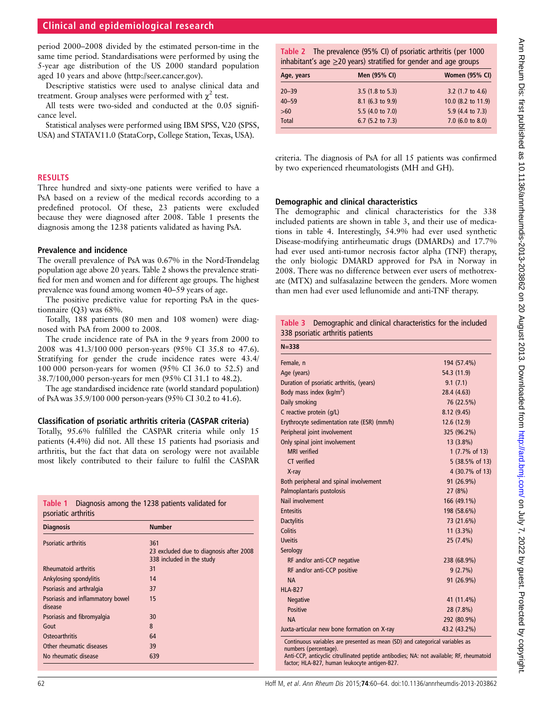# Clinical and epidemiological research

period 2000–2008 divided by the estimated person-time in the same time period. Standardisations were performed by using the 5-year age distribution of the US 2000 standard population aged 10 years and above [\(http://seer.cancer.gov\)](http://seer.cancer.gov).

Descriptive statistics were used to analyse clinical data and treatment. Group analyses were performed with  $\chi^2$  test.

All tests were two-sided and conducted at the 0.05 significance level.

Statistical analyses were performed using IBM SPSS, V.20 (SPSS, USA) and STATAV.11.0 (StataCorp, College Station, Texas, USA).

#### RESULTS

Three hundred and sixty-one patients were verified to have a PsA based on a review of the medical records according to a predefined protocol. Of these, 23 patients were excluded because they were diagnosed after 2008. Table 1 presents the diagnosis among the 1238 patients validated as having PsA.

## Prevalence and incidence

The overall prevalence of PsA was 0.67% in the Nord-Trøndelag population age above 20 years. Table 2 shows the prevalence stratified for men and women and for different age groups. The highest prevalence was found among women 40–59 years of age.

The positive predictive value for reporting PsA in the questionnaire (Q3) was 68%.

Totally, 188 patients (80 men and 108 women) were diagnosed with PsA from 2000 to 2008.

The crude incidence rate of PsA in the 9 years from 2000 to 2008 was 41.3/100 000 person-years (95% CI 35.8 to 47.6). Stratifying for gender the crude incidence rates were 43.4/ 100 000 person-years for women (95% CI 36.0 to 52.5) and 38.7/100,000 person-years for men (95% CI 31.1 to 48.2).

The age standardised incidence rate (world standard population) of PsA was 35.9/100 000 person-years (95% CI 30.2 to 41.6).

## Classification of psoriatic arthritis criteria (CASPAR criteria)

Totally, 95.6% fulfilled the CASPAR criteria while only 15 patients (4.4%) did not. All these 15 patients had psoriasis and arthritis, but the fact that data on serology were not available most likely contributed to their failure to fulfil the CASPAR

|                     | Table 1 Diagnosis among the 1238 patients validated for |
|---------------------|---------------------------------------------------------|
| psoriatic arthritis |                                                         |

| <b>Diagnosis</b>                            | <b>Number</b>                                                               |
|---------------------------------------------|-----------------------------------------------------------------------------|
| Psoriatic arthritis                         | 361<br>23 excluded due to diagnosis after 2008<br>338 included in the study |
| <b>Rheumatoid arthritis</b>                 | 31                                                                          |
| Ankylosing spondylitis                      | 14                                                                          |
| Psoriasis and arthralgia                    | 37                                                                          |
| Psoriasis and inflammatory bowel<br>disease | 15                                                                          |
| Psoriasis and fibromyalgia                  | 30                                                                          |
| Gout                                        | 8                                                                           |
| Osteoarthritis                              | 64                                                                          |
| Other rheumatic diseases                    | 39                                                                          |
| No rheumatic disease                        | 639                                                                         |

Table 2 The prevalence (95% CI) of psoriatic arthritis (per 1000 inhabitant's age  $\geq$ 20 years) stratified for gender and age groups

| Age, years   | Men (95% CI)                | <b>Women (95% CI)</b>       |
|--------------|-----------------------------|-----------------------------|
| $20 - 39$    | 3.5 $(1.8 \text{ to } 5.3)$ | 3.2 $(1.7 \text{ to } 4.6)$ |
| $40 - 59$    | 8.1 (6.3 to 9.9)            | 10.0 (8.2 to 11.9)          |
| >60          | 5.5 (4.0 to 7.0)            | 5.9 (4.4 to 7.3)            |
| <b>Total</b> | 6.7 (5.2 to 7.3)            | 7.0 (6.0 to 8.0)            |
|              |                             |                             |

criteria. The diagnosis of PsA for all 15 patients was confirmed by two experienced rheumatologists (MH and GH).

## Demographic and clinical characteristics

The demographic and clinical characteristics for the 338 included patients are shown in table 3, and their use of medications in table 4. Interestingly, 54.9% had ever used synthetic Disease-modifying antirheumatic drugs (DMARDs) and 17.7% had ever used anti-tumor necrosis factor alpha (TNF) therapy, the only biologic DMARD approved for PsA in Norway in 2008. There was no difference between ever users of methotrexate (MTX) and sulfasalazine between the genders. More women than men had ever used leflunomide and anti-TNF therapy.

| Table 3 Demographic and clinical characteristics for the included |  |  |  |
|-------------------------------------------------------------------|--|--|--|
| 338 psoriatic arthritis patients                                  |  |  |  |

| Female, n                                                                                                                                                                                                                                          | 194 (57.4%)     |
|----------------------------------------------------------------------------------------------------------------------------------------------------------------------------------------------------------------------------------------------------|-----------------|
| Age (years)                                                                                                                                                                                                                                        | 54.3 (11.9)     |
| Duration of psoriatic arthritis, (years)                                                                                                                                                                                                           | 9.1(7.1)        |
| Body mass index ( $kg/m2$ )                                                                                                                                                                                                                        | 28.4 (4.63)     |
| Daily smoking                                                                                                                                                                                                                                      | 76 (22.5%)      |
| C reactive protein (q/L)                                                                                                                                                                                                                           | 8.12(9.45)      |
| Erythrocyte sedimentation rate (ESR) (mm/h)                                                                                                                                                                                                        | 12.6 (12.9)     |
| Peripheral joint involvement                                                                                                                                                                                                                       | 325 (96.2%)     |
| Only spinal joint involvement                                                                                                                                                                                                                      | 13 (3.8%)       |
| <b>MRI</b> verified                                                                                                                                                                                                                                | 1 (7.7% of 13)  |
| CT verified                                                                                                                                                                                                                                        | 5 (38.5% of 13) |
| X-ray                                                                                                                                                                                                                                              | 4 (30.7% of 13) |
| Both peripheral and spinal involvement                                                                                                                                                                                                             | 91 (26.9%)      |
| Palmoplantaris pustolosis                                                                                                                                                                                                                          | 27 (8%)         |
| Nail involvement                                                                                                                                                                                                                                   | 166 (49.1%)     |
| <b>Entesitis</b>                                                                                                                                                                                                                                   | 198 (58.6%)     |
| <b>Dactylitis</b>                                                                                                                                                                                                                                  | 73 (21.6%)      |
| Colitis                                                                                                                                                                                                                                            | $11(3.3\%)$     |
| <b>Uveitis</b>                                                                                                                                                                                                                                     | 25 (7.4%)       |
| Serology                                                                                                                                                                                                                                           |                 |
| RF and/or anti-CCP negative                                                                                                                                                                                                                        | 238 (68.9%)     |
| RF and/or anti-CCP positive                                                                                                                                                                                                                        | 9(2.7%)         |
| <b>NA</b>                                                                                                                                                                                                                                          | 91 (26.9%)      |
| <b>HLA-B27</b>                                                                                                                                                                                                                                     |                 |
| Negative                                                                                                                                                                                                                                           | 41 (11.4%)      |
| <b>Positive</b>                                                                                                                                                                                                                                    | 28 (7.8%)       |
| <b>NA</b>                                                                                                                                                                                                                                          | 292 (80.9%)     |
| Juxta-articular new bone formation on X-ray                                                                                                                                                                                                        | 43.2 (43.2%)    |
| Continuous variables are presented as mean (SD) and categorical variables as<br>numbers (percentage).<br>Anti-CCP, anticyclic citrullinated peptide antibodies; NA: not available; RF, rheumatoid<br>factor; HLA-B27, human leukocyte antigen-B27. |                 |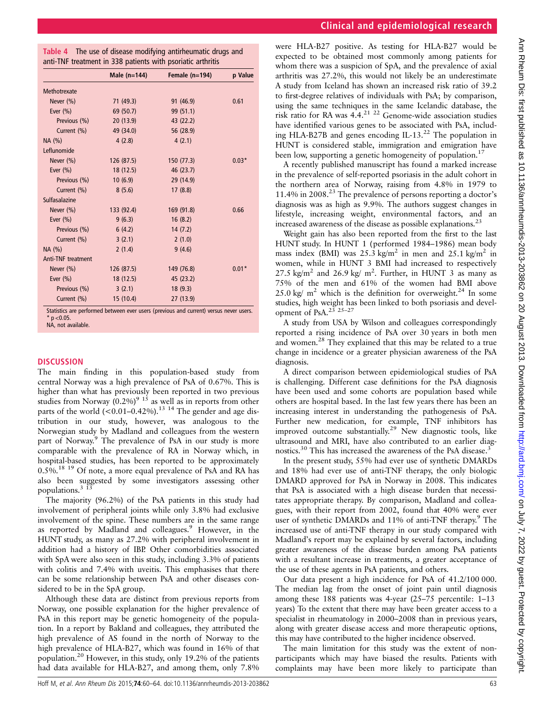| Table 4 The use of disease modifying antirheumatic drugs and |  |
|--------------------------------------------------------------|--|
| anti-TNF treatment in 338 patients with psoriatic arthritis  |  |

|                           | Male $(n=144)$ | Female $(n=194)$ | p Value |
|---------------------------|----------------|------------------|---------|
| Methotrexate              |                |                  |         |
| Never (%)                 | 71 (49.3)      | 91 (46.9)        | 0.61    |
| Ever $(\% )$              | 69 (50.7)      | 99 (51.1)        |         |
| Previous (%)              | 20 (13.9)      | 43 (22.2)        |         |
| Current (%)               | 49 (34.0)      | 56 (28.9)        |         |
| NA(%)                     | 4(2.8)         | 4(2.1)           |         |
| Leflunomide               |                |                  |         |
| Never $(\% )$             | 126 (87.5)     | 150(77.3)        | $0.03*$ |
| Ever $(\% )$              | 18 (12.5)      | 46 (23.7)        |         |
| Previous (%)              | 10(6.9)        | 29 (14.9)        |         |
| Current (%)               | 8(5.6)         | 17(8.8)          |         |
| Sulfasalazine             |                |                  |         |
| Never $(\% )$             | 133 (92.4)     | 169 (91.8)       | 0.66    |
| Ever $(\% )$              | 9(6.3)         | 16(8.2)          |         |
| Previous (%)              | 6(4.2)         | 14(7.2)          |         |
| Current (%)               | 3(2.1)         | 2(1.0)           |         |
| NA(%)                     | 2(1.4)         | 9(4.6)           |         |
| <b>Anti-TNF treatment</b> |                |                  |         |
| Never $(\% )$             | 126 (87.5)     | 149 (76.8)       | $0.01*$ |
| Ever $(\% )$              | 18 (12.5)      | 45 (23.2)        |         |
| Previous (%)              | 3(2.1)         | 18(9.3)          |         |
| Current (%)               | 15(10.4)       | 27 (13.9)        |         |

Statistics are performed between ever users (previous and current) versus never users.  $n < 0.05$ .

#### NA, not available.

## **DISCUSSION**

The main finding in this population-based study from central Norway was a high prevalence of PsA of 0.67%. This is higher than what has previously been reported in two previous studies from Norway  $(0.2\%)^9$  <sup>15</sup> as well as in reports from other parts of the world  $(<0.01-0.42\%)$ .<sup>13 14</sup> The gender and age distribution in our study, however, was analogous to the Norwegian study by Madland and colleagues from the western part of Norway.<sup>9</sup> The prevalence of PsA in our study is more comparable with the prevalence of RA in Norway which, in hospital-based studies, has been reported to be approximately 0.5%.18 19 Of note, a more equal prevalence of PsA and RA has also been suggested by some investigators assessing other populations.<sup>3</sup>

The majority (96.2%) of the PsA patients in this study had involvement of peripheral joints while only 3.8% had exclusive involvement of the spine. These numbers are in the same range as reported by Madland and colleagues.<sup>9</sup> However, in the HUNT study, as many as 27.2% with peripheral involvement in addition had a history of IBP. Other comorbidities associated with SpA were also seen in this study, including 3.3% of patients with colitis and 7.4% with uveitis. This emphasises that there can be some relationship between PsA and other diseases considered to be in the SpA group.

Although these data are distinct from previous reports from Norway, one possible explanation for the higher prevalence of PsA in this report may be genetic homogeneity of the population. In a report by Bakland and colleagues, they attributed the high prevalence of AS found in the north of Norway to the high prevalence of HLA-B27, which was found in 16% of that population.20 However, in this study, only 19.2% of the patients had data available for HLA-B27, and among them, only 7.8%

# Clinical and epidemiological research

were HLA-B27 positive. As testing for HLA-B27 would be expected to be obtained most commonly among patients for whom there was a suspicion of SpA, and the prevalence of axial arthritis was 27.2%, this would not likely be an underestimate A study from Iceland has shown an increased risk ratio of 39.2 to first-degree relatives of individuals with PsA; by comparison, using the same techniques in the same Icelandic database, the risk ratio for RA was 4.4.21 22 Genome-wide association studies have identified various genes to be associated with PsA, including HLA-B27B and genes encoding IL-13.<sup>22</sup> The population in HUNT is considered stable, immigration and emigration have been low, supporting a genetic homogeneity of population.<sup>17</sup>

A recently published manuscript has found a marked increase in the prevalence of self-reported psoriasis in the adult cohort in the northern area of Norway, raising from 4.8% in 1979 to 11.4% in 2008.23 The prevalence of persons reporting a doctor's diagnosis was as high as 9.9%. The authors suggest changes in lifestyle, increasing weight, environmental factors, and an increased awareness of the disease as possible explanations.<sup>23</sup>

Weight gain has also been reported from the first to the last HUNT study. In HUNT 1 (performed 1984–1986) mean body mass index (BMI) was  $25.3 \text{ kg/m}^2$  in men and  $25.1 \text{ kg/m}^2$  in women, while in HUNT 3 BMI had increased to respectively 27.5 kg/m<sup>2</sup> and 26.9 kg/ m<sup>2</sup>. Further, in HUNT 3 as many as 75% of the men and 61% of the women had BMI above 25.0 kg/  $m^2$  which is the definition for overweight.<sup>24</sup> In some studies, high weight has been linked to both psoriasis and development of PsA.<sup>23</sup>  $25-27$ 

A study from USA by Wilson and colleagues correspondingly reported a rising incidence of PsA over 30 years in both men and women.28 They explained that this may be related to a true change in incidence or a greater physician awareness of the PsA diagnosis.

A direct comparison between epidemiological studies of PsA is challenging. Different case definitions for the PsA diagnosis have been used and some cohorts are population based while others are hospital based. In the last few years there has been an increasing interest in understanding the pathogenesis of PsA. Further new medication, for example, TNF inhibitors has improved outcome substantially.<sup>29</sup> New diagnostic tools, like ultrasound and MRI, have also contributed to an earlier diagnostics.<sup>30</sup> This has increased the awareness of the PsA disease.<sup>3</sup>

In the present study, 55% had ever use of synthetic DMARDs and 18% had ever use of anti-TNF therapy, the only biologic DMARD approved for PsA in Norway in 2008. This indicates that PsA is associated with a high disease burden that necessitates appropriate therapy. By comparison, Madland and colleagues, with their report from 2002, found that 40% were ever user of synthetic DMARDs and 11% of anti-TNF therapy.<sup>9</sup> The increased use of anti-TNF therapy in our study compared with Madland's report may be explained by several factors, including greater awareness of the disease burden among PsA patients with a resultant increase in treatments, a greater acceptance of the use of these agents in PsA patients, and others.

Our data present a high incidence for PsA of 41.2/100 000. The median lag from the onset of joint pain until diagnosis among these 188 patients was 4-year (25–75 percentile: 1–13 years) To the extent that there may have been greater access to a specialist in rheumatology in 2000–2008 than in previous years, along with greater disease access and more therapeutic options, this may have contributed to the higher incidence observed.

The main limitation for this study was the extent of nonparticipants which may have biased the results. Patients with complaints may have been more likely to participate than